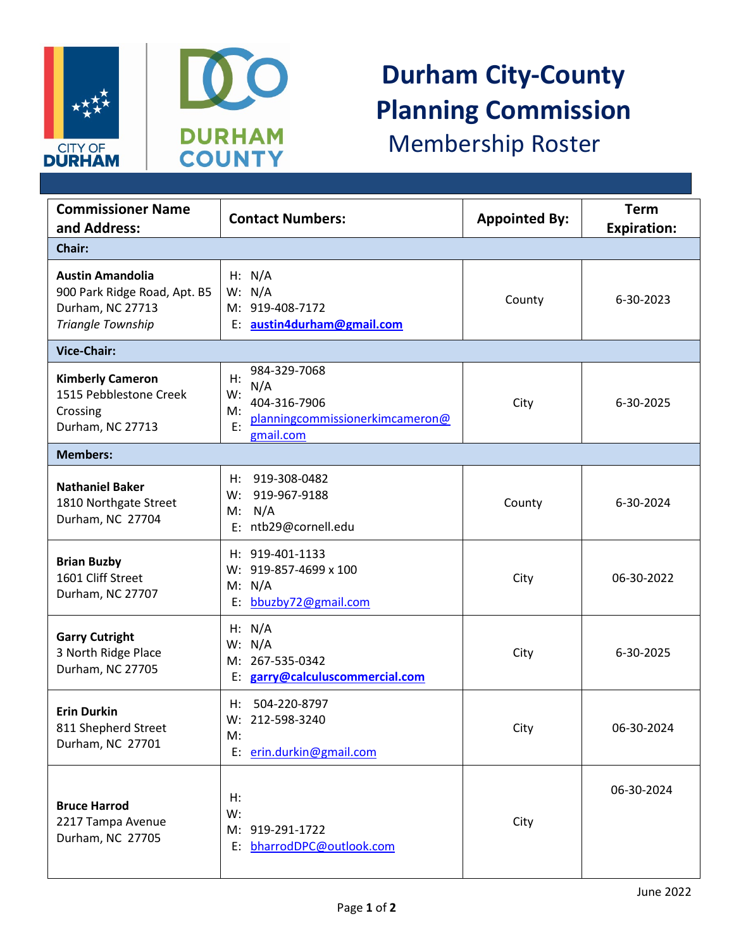



## **Durham City-County Planning Commission** Membership Roster

| <b>Commissioner Name</b><br>and Address:                                                         | <b>Contact Numbers:</b>                                                                                     | <b>Appointed By:</b> | <b>Term</b><br><b>Expiration:</b> |  |
|--------------------------------------------------------------------------------------------------|-------------------------------------------------------------------------------------------------------------|----------------------|-----------------------------------|--|
| Chair:                                                                                           |                                                                                                             |                      |                                   |  |
| <b>Austin Amandolia</b><br>900 Park Ridge Road, Apt. B5<br>Durham, NC 27713<br>Triangle Township | H: N/A<br>W: N/A<br>M: 919-408-7172<br>E: austin4durham@gmail.com                                           | County               | 6-30-2023                         |  |
| <b>Vice-Chair:</b>                                                                               |                                                                                                             |                      |                                   |  |
| <b>Kimberly Cameron</b><br>1515 Pebblestone Creek<br>Crossing<br>Durham, NC 27713                | 984-329-7068<br>H:<br>N/A<br>W:<br>404-316-7906<br>M:<br>planningcommissionerkimcameron@<br>E:<br>gmail.com | City                 | 6-30-2025                         |  |
| <b>Members:</b>                                                                                  |                                                                                                             |                      |                                   |  |
| <b>Nathaniel Baker</b><br>1810 Northgate Street<br>Durham, NC 27704                              | 919-308-0482<br>H:<br>919-967-9188<br>W:<br>M: N/A<br>E: ntb29@cornell.edu                                  | County               | 6-30-2024                         |  |
| <b>Brian Buzby</b><br>1601 Cliff Street<br>Durham, NC 27707                                      | H: 919-401-1133<br>W: 919-857-4699 x 100<br>M: N/A<br>E: bbuzby72@gmail.com                                 | City                 | 06-30-2022                        |  |
| <b>Garry Cutright</b><br>3 North Ridge Place<br>Durham, NC 27705                                 | H: N/A<br>W: N/A<br>M: 267-535-0342<br>E: garry@calculuscommercial.com                                      | City                 | 6-30-2025                         |  |
| <b>Erin Durkin</b><br>811 Shepherd Street<br>Durham, NC 27701                                    | 504-220-8797<br>H:<br>W: 212-598-3240<br>M:<br>E: erin.durkin@gmail.com                                     | City                 | 06-30-2024                        |  |
| <b>Bruce Harrod</b><br>2217 Tampa Avenue<br>Durham, NC 27705                                     | H:<br>W:<br>M: 919-291-1722<br>E: bharrodDPC@outlook.com                                                    | City                 | 06-30-2024                        |  |